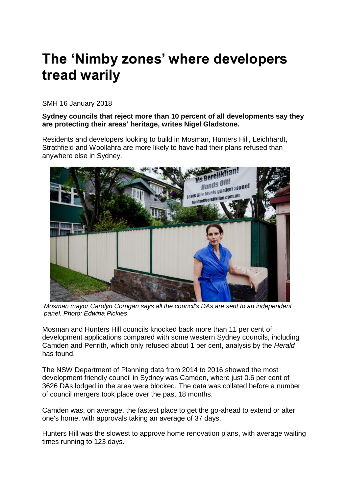# **The 'Nimby zones' where developers tread warily**

SMH 16 January 2018

### **Sydney councils that reject more than 10 percent of all developments say they are protecting their areas' heritage, writes Nigel Gladstone.**

Residents and developers looking to build in Mosman, Hunters Hill, Leichhardt, Strathfield and Woollahra are more likely to have had their plans refused than anywhere else in Sydney.



*Mosman mayor Carolyn Corrigan says all the council's DAs are sent to an independent panel. Photo: Edwina Pickles* 

Mosman and Hunters Hill councils knocked back more than 11 per cent of development applications compared with some western Sydney councils, including Camden and Penrith, which only refused about 1 per cent, analysis by the *Herald* has found.

The NSW Department of Planning data from 2014 to 2016 showed the most development friendly council in Sydney was Camden, where just 0.6 per cent of 3626 DAs lodged in the area were blocked. The data was collated before a number of council mergers took place over the past 18 months.

Camden was, on average, the fastest place to get the go-ahead to extend or alter one's home, with approvals taking an average of 37 days.

Hunters Hill was the slowest to approve home renovation plans, with average waiting times running to 123 days.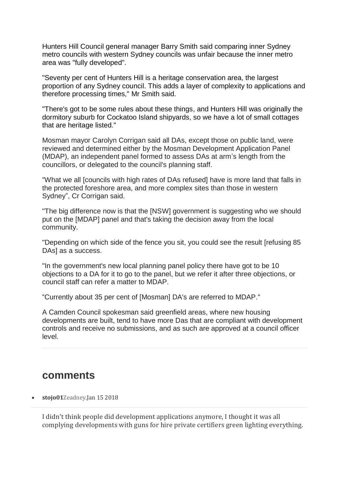Hunters Hill Council general manager Barry Smith said comparing inner Sydney metro councils with western Sydney councils was unfair because the inner metro area was "fully developed".

"Seventy per cent of Hunters Hill is a heritage conservation area, the largest proportion of any Sydney council. This adds a layer of complexity to applications and therefore processing times," Mr Smith said.

"There's got to be some rules about these things, and Hunters Hill was originally the dormitory suburb for Cockatoo Island shipyards, so we have a lot of small cottages that are heritage listed."

Mosman mayor Carolyn Corrigan said all DAs, except those on public land, were reviewed and determined either by the Mosman Development Application Panel (MDAP), an independent panel formed to assess DAs at arm's length from the councillors, or delegated to the council's planning staff.

"What we all [councils with high rates of DAs refused] have is more land that falls in the protected foreshore area, and more complex sites than those in western Sydney", Cr Corrigan said.

"The big difference now is that the [NSW] government is suggesting who we should put on the [MDAP] panel and that's taking the decision away from the local community.

"Depending on which side of the fence you sit, you could see the result [refusing 85 DAs] as a success.

"In the government's new local planning panel policy there have got to be 10 objections to a DA for it to go to the panel, but we refer it after three objections, or council staff can refer a matter to MDAP.

"Currently about 35 per cent of [Mosman] DA's are referred to MDAP."

A Camden Council spokesman said greenfield areas, where new housing developments are built, tend to have more Das that are compliant with development controls and receive no submissions, and as such are approved at a council officer level.

## comments

• **stojo01**Zeadney,Jan 15 2018

I didn't think people did development applications anymore, I thought it was all complying developments with guns for hire private certifiers green lighting everything.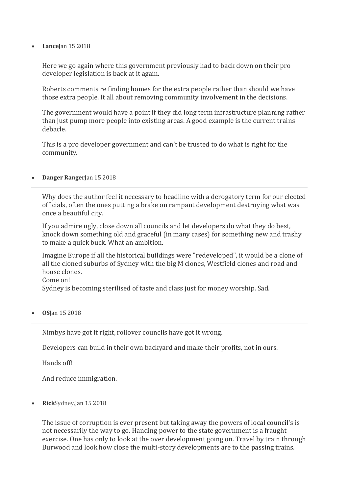#### • **Lance**Jan 15 2018

Here we go again where this government previously had to back down on their pro developer legislation is back at it again.

Roberts comments re finding homes for the extra people rather than should we have those extra people. It all about removing community involvement in the decisions.

The government would have a point if they did long term infrastructure planning rather than just pump more people into existing areas. A good example is the current trains debacle.

This is a pro developer government and can't be trusted to do what is right for the community.

#### • **Danger Ranger**Jan 15 2018

Why does the author feel it necessary to headline with a derogatory term for our elected officials, often the ones putting a brake on rampant development destroying what was once a beautiful city.

If you admire ugly, close down all councils and let developers do what they do best, knock down something old and graceful (in many cases) for something new and trashy to make a quick buck. What an ambition.

Imagine Europe if all the historical buildings were "redeveloped", it would be a clone of all the cloned suburbs of Sydney with the big M clones, Westfield clones and road and house clones. Come on!

Sydney is becoming sterilised of taste and class just for money worship. Sad.

• **OS**Jan 15 2018

Nimbys have got it right, rollover councils have got it wrong.

Developers can build in their own backyard and make their profits, not in ours.

Hands off!

And reduce immigration.

• **Rick**Sydney,Jan 15 2018

The issue of corruption is ever present but taking away the powers of local council's is not necessarily the way to go. Handing power to the state government is a fraught exercise. One has only to look at the over development going on. Travel by train through Burwood and look how close the multi-story developments are to the passing trains.